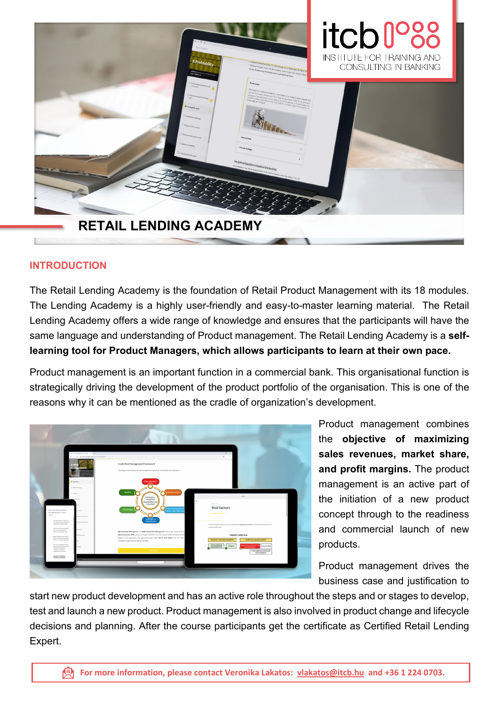

# **INTRODUCTION**

The Retail Lending Academy is the foundation of Retail Product Management with its 18 modules. The Lending Academy is a highly user-friendly and easy-to-master learning material. The Retail Lending Academy offers a wide range of knowledge and ensures that the participants will have the same language and understanding of Product management. The Retail Lending Academy is a **selflearning tool for Product Managers, which allows participants to learn at their own pace.**

Product management is an important function in a commercial bank. This organisational function is strategically driving the development of the product portfolio of the organisation. This is one of the reasons why it can be mentioned as the cradle of organization's development.



Product management combines the **objective of maximizing sales revenues, market share, and profit margins.** The product management is an active part of the initiation of a new product concept through to the readiness and commercial launch of new products.

Product management drives the business case and justification to

start new product development and has an active role throughout the steps and or stages to develop, test and launch a new product. Product management is also involved in product change and lifecycle decisions and planning. After the course participants get the certificate as Certified Retail Lending Expert.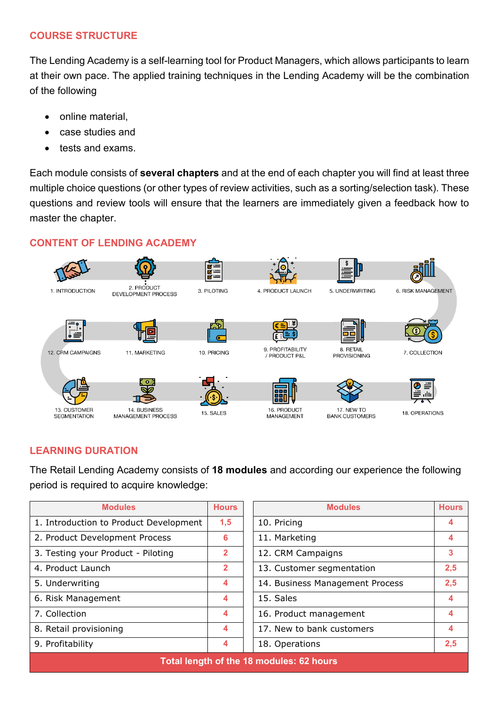# **COURSE STRUCTURE**

The Lending Academy is a self-learning tool for Product Managers, which allows participants to learn at their own pace. The applied training techniques in the Lending Academy will be the combination of the following

- online material,
- case studies and
- tests and exams.

Each module consists of **several chapters** and at the end of each chapter you will find at least three multiple choice questions (or other types of review activities, such as a sorting/selection task). These questions and review tools will ensure that the learners are immediately given a feedback how to master the chapter.

# **CONTENT OF LENDING ACADEMY**



# **LEARNING DURATION**

The Retail Lending Academy consists of **18 modules** and according our experience the following period is required to acquire knowledge:

| <b>Modules</b>                           | <b>Hours</b>   | <b>Modules</b>                  | <b>Hours</b> |
|------------------------------------------|----------------|---------------------------------|--------------|
| 1. Introduction to Product Development   | 1,5            | 10. Pricing                     | 4            |
| 2. Product Development Process           | 6              | 11. Marketing                   |              |
| 3. Testing your Product - Piloting       | $\overline{2}$ | 12. CRM Campaigns               | 3            |
| 4. Product Launch                        | $\overline{2}$ | 13. Customer segmentation       | 2,5          |
| 5. Underwriting                          | 4              | 14. Business Management Process | 2,5          |
| 6. Risk Management                       | 4              | 15. Sales                       | 4            |
| 7. Collection                            | 4              | 16. Product management          |              |
| 8. Retail provisioning                   | 4              | 17. New to bank customers       | 4            |
| 9. Profitability                         | 4              | 18. Operations                  | 2,5          |
| Total length of the 18 modules: 62 hours |                |                                 |              |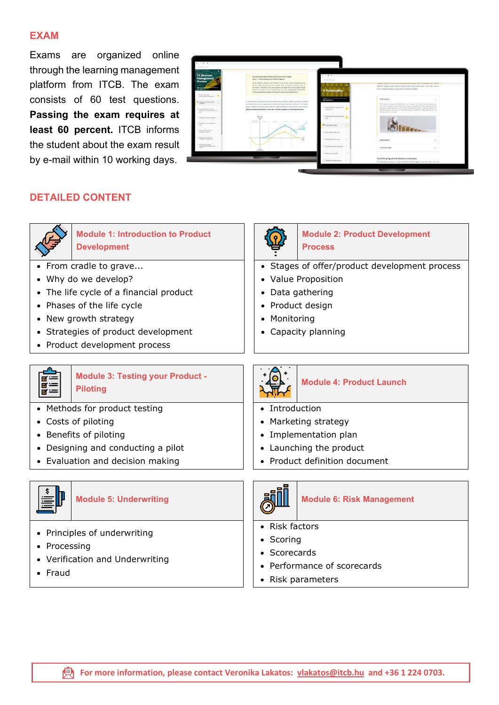### **EXAM**

Exams are organized online through the learning management platform from ITCB. The exam consists of 60 test questions. **Passing the exam requires at least 60 percent.** ITCB informs the student about the exam result by e-mail within 10 working days.



## **DETAILED CONTENT**



**Module 1: Introduction to Product Development**

- From cradle to grave...
- Why do we develop?
- The life cycle of a financial product
- Phases of the life cycle
- New growth strategy
- Strategies of product development
- Product development process



### **Module 3: Testing your Product - Piloting**

- Methods for product testing
- Costs of piloting
- Benefits of piloting
- Designing and conducting a pilot
- Evaluation and decision making



- Principles of underwriting
- Processing
- Verification and Underwriting
- Fraud



### **Module 2: Product Development Process**

- Stages of offer/product development process
- Value Proposition
- Data gathering
- Product design
- Monitoring
- Capacity planning



### **Module 4: Product Launch**

- Introduction
- Marketing strategy
- Implementation plan
- Launching the product
- Product definition document



### **Module 5: Underwriting Nodule 6: Risk Management**

- Risk factors
- Scoring
- Scorecards
- Performance of scorecards
- Risk parameters